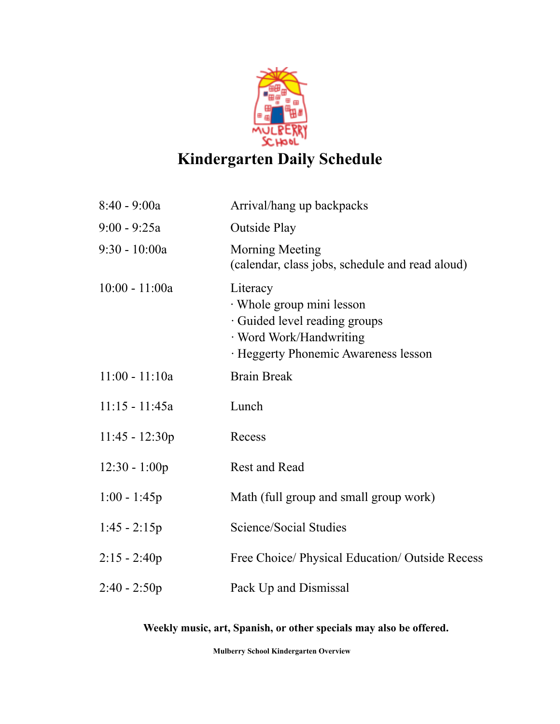

## **Kindergarten Daily Schedule**

| 8:40 - 9:00a     | Arrival/hang up backpacks                                                                                                                 |
|------------------|-------------------------------------------------------------------------------------------------------------------------------------------|
| $9:00 - 9:25a$   | <b>Outside Play</b>                                                                                                                       |
| $9:30 - 10:00a$  | <b>Morning Meeting</b><br>(calendar, class jobs, schedule and read aloud)                                                                 |
| $10:00 - 11:00a$ | Literacy<br>· Whole group mini lesson<br>· Guided level reading groups<br>· Word Work/Handwriting<br>· Heggerty Phonemic Awareness lesson |
| $11:00 - 11:10a$ | <b>Brain Break</b>                                                                                                                        |
| $11:15 - 11:45a$ | Lunch                                                                                                                                     |
| $11:45 - 12:30p$ | Recess                                                                                                                                    |
| $12:30 - 1:00p$  | <b>Rest and Read</b>                                                                                                                      |
| $1:00 - 1:45p$   | Math (full group and small group work)                                                                                                    |
| $1:45 - 2:15p$   | Science/Social Studies                                                                                                                    |
| $2:15 - 2:40p$   | Free Choice/ Physical Education/ Outside Recess                                                                                           |
| $2:40 - 2:50p$   | Pack Up and Dismissal                                                                                                                     |

**Weekly music, art, Spanish, or other specials may also be offered.**

**Mulberry School Kindergarten Overview**